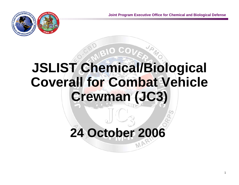

# **JSLIST Chemical/Biological Coverall for Combat Vehicle Crewman (JC3)**

# **24 October 2006**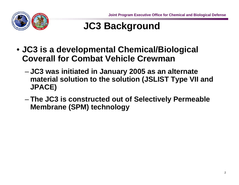

# **JC3 Background**

- **JC3 is a developmental Chemical/Biological Coverall for Combat Vehicle Crewman**
	- **JC3 was initiated in January 2005 as an alternate material solution to the solution (JSLIST Type VII and JPACE)**
	- **The JC3 is constructed out of Selectively Permeable Membrane (SPM) technology**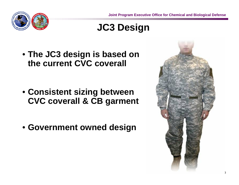

### **JC3 Design**

• **The JC3 design is based on the current CVC coverall**

- **Consistent sizing between CVC coverall & CB garment**
- **Government owned design**

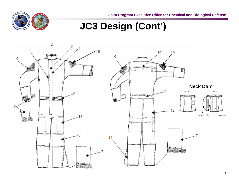**Joint Program Executive Office for Chemical and Biological Defense**



## **JC3 Design (Cont')**

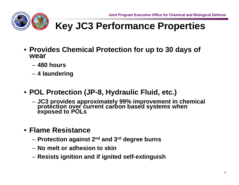

### **Key JC3 Performance Properties**

- **Provides Chemical Protection for up to 30 days of wear** 
	- **480 hours**
	- **4 laundering**
- **POL Protection (JP-8, Hydraulic Fluid, etc.)**
	- **JC3 provides approximately 99% improvement in chemical protection over current carbon based systems when exposed to POLs**
- **Flame Resistance**
	- **Protection against 2nd and 3rd degree burns**
	- **No melt or adhesion to skin**
	- –**Resists ignition and if ignited self-extinguish**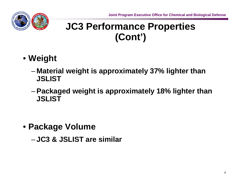

### **JC3 Performance Properties (Cont')**

- **Weight** 
	- – **Material weight is approximately 37% lighter than JSLIST**
	- **Packaged weight is approximately 18% lighter than JSLIST**

- **Package Volume**
	- **JC3 & JSLIST are similar**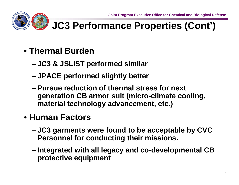

# **JC3 Performance Properties (Cont')**

- **Thermal Burden**
	- –**JC3 & JSLIST performed similar**
	- **JPACE performed slightly better**
	- **Pursue reduction of thermal stress for next generation CB armor suit (micro-climate cooling, material technology advancement, etc.)**

#### • **Human Factors**

- – **JC3 garments were found to be acceptable by CVC Personnel for conducting their missions.**
- – **Integrated with all legacy and co-developmental CB protective equipment**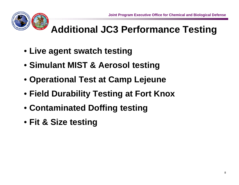

# **Additional JC3 Performance Testing**

- **Live agent swatch testing**
- **Simulant MIST & Aerosol testing**
- **Operational Test at Camp Lejeune**
- **Field Durability Testing at Fort Knox**
- **Contaminated Doffing testing**
- **Fit & Size testing**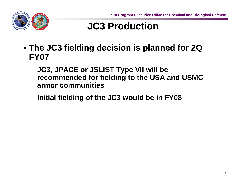

## **JC3 Production**

- **The JC3 fielding decision is planned for 2Q FY07**
	- – **JC3, JPACE or JSLIST Type VII will be recommended for fielding to the USA and USMC armor communities**
	- **Links of the Company Initial fielding of the JC3 would be in FY08**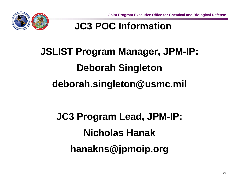

### **JC3 POC Information**

# **JSLIST Program Manager, JPM-IP: Deborah Singleton deborah.singleton@usmc.mil**

# **JC3 Program Lead, JPM-IP: Nicholas Hanakhanakns@jpmoip.org**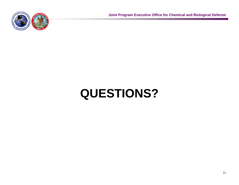

**Joint Program Executive Office for Chemical and Biological Defense**

# **QUESTIONS?**